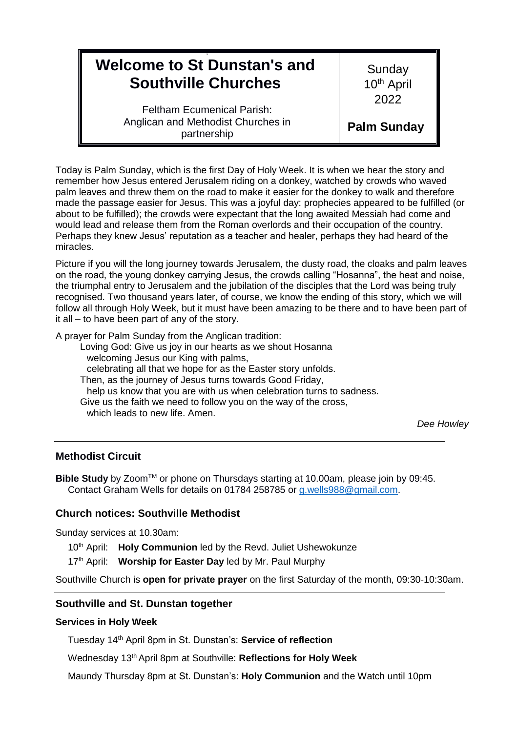# 9 **Welcome to St Dunstan's and Southville Churches**

**Sunday** 10<sup>th</sup> April 2022

Feltham Ecumenical Parish: Anglican and Methodist Churches in partnership

**Palm Sunday** 

Today is Palm Sunday, which is the first Day of Holy Week. It is when we hear the story and remember how Jesus entered Jerusalem riding on a donkey, watched by crowds who waved palm leaves and threw them on the road to make it easier for the donkey to walk and therefore made the passage easier for Jesus. This was a joyful day: prophecies appeared to be fulfilled (or about to be fulfilled); the crowds were expectant that the long awaited Messiah had come and would lead and release them from the Roman overlords and their occupation of the country. Perhaps they knew Jesus' reputation as a teacher and healer, perhaps they had heard of the miracles.

Picture if you will the long journey towards Jerusalem, the dusty road, the cloaks and palm leaves on the road, the young donkey carrying Jesus, the crowds calling "Hosanna", the heat and noise, the triumphal entry to Jerusalem and the jubilation of the disciples that the Lord was being truly recognised. Two thousand years later, of course, we know the ending of this story, which we will follow all through Holy Week, but it must have been amazing to be there and to have been part of it all – to have been part of any of the story.

A prayer for Palm Sunday from the Anglican tradition:

Loving God: Give us joy in our hearts as we shout Hosanna welcoming Jesus our King with palms, celebrating all that we hope for as the Easter story unfolds. Then, as the journey of Jesus turns towards Good Friday, help us know that you are with us when celebration turns to sadness. Give us the faith we need to follow you on the way of the cross, which leads to new life. Amen.

*Dee Howley*

# **Methodist Circuit**

**Bible Study** by Zoom™ or phone on Thursdays starting at 10.00am, please join by 09:45. Contact Graham Wells for details on 01784 258785 or [g.wells988@gmail.com.](mailto:g.wells988@gmail.com)

### **Church notices: Southville Methodist**

Sunday services at 10.30am:

10<sup>th</sup> April: **Holy Communion** led by the Revd. Juliet Ushewokunze

17<sup>th</sup> April: Worship for Easter Day led by Mr. Paul Murphy

Southville Church is **open for private prayer** on the first Saturday of the month, 09:30-10:30am.

## **Southville and St. Dunstan together**

### **Services in Holy Week**

Tuesday 14th April 8pm in St. Dunstan's: **Service of reflection**

Wednesday 13th April 8pm at Southville: **Reflections for Holy Week**

Maundy Thursday 8pm at St. Dunstan's: **Holy Communion** and the Watch until 10pm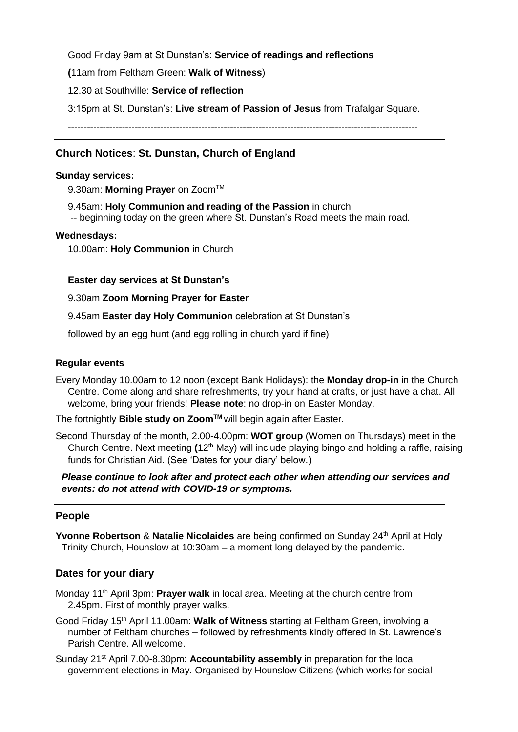Good Friday 9am at St Dunstan's: **Service of readings and reflections**

**(**11am from Feltham Green: **Walk of Witness**)

12.30 at Southville: **Service of reflection** 

3:15pm at St. Dunstan's: **Live stream of Passion of Jesus** from Trafalgar Square.

--------------------------------------------------------------------------------------------------------------

# **Church Notices**: **St. Dunstan, Church of England**

#### **Sunday services:**

9.30am: Morning Prayer on Zoom<sup>™</sup>

9.45am: **Holy Communion and reading of the Passion** in church

-- beginning today on the green where St. Dunstan's Road meets the main road.

#### **Wednesdays:**

10.00am: **Holy Communion** in Church

### **Easter day services at St Dunstan's**

### 9.30am **Zoom Morning Prayer for Easter**

9.45am **Easter day Holy Communion** celebration at St Dunstan's

followed by an egg hunt (and egg rolling in church yard if fine)

#### **Regular events**

Every Monday 10.00am to 12 noon (except Bank Holidays): the **Monday drop-in** in the Church Centre. Come along and share refreshments, try your hand at crafts, or just have a chat. All welcome, bring your friends! **Please note**: no drop-in on Easter Monday.

The fortnightly **Bible study on ZoomTM** will begin again after Easter.

Second Thursday of the month, 2.00-4.00pm: **WOT group** (Women on Thursdays) meet in the Church Centre. Next meeting **(**12th May) will include playing bingo and holding a raffle, raising funds for Christian Aid. (See 'Dates for your diary' below.)

*Please continue to look after and protect each other when attending our services and events: do not attend with COVID-19 or symptoms.*

### **People**

**Yvonne Robertson & Natalie Nicolaides** are being confirmed on Sunday 24<sup>th</sup> April at Holy Trinity Church, Hounslow at 10:30am – a moment long delayed by the pandemic.

### **Dates for your diary**

- Monday 11<sup>th</sup> April 3pm: **Prayer walk** in local area. Meeting at the church centre from 2.45pm. First of monthly prayer walks.
- Good Friday 15th April 11.00am: **Walk of Witness** starting at Feltham Green, involving a number of Feltham churches – followed by refreshments kindly offered in St. Lawrence's Parish Centre. All welcome.
- Sunday 21st April 7.00-8.30pm: **Accountability assembly** in preparation for the local government elections in May. Organised by Hounslow Citizens (which works for social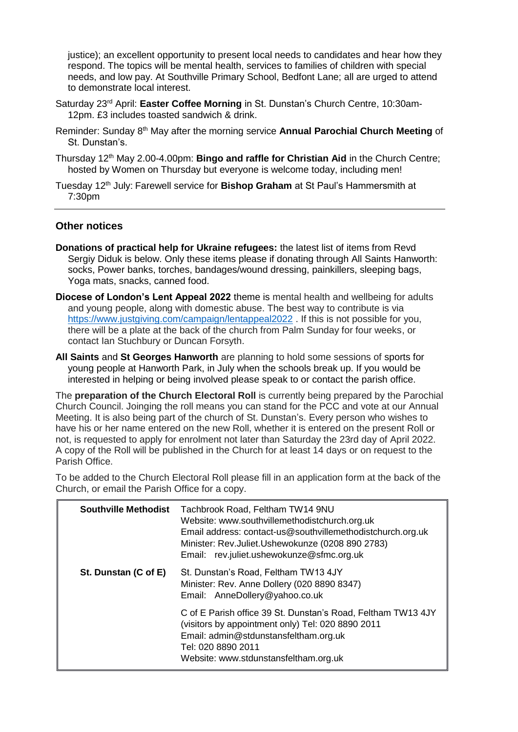justice); an excellent opportunity to present local needs to candidates and hear how they respond. The topics will be mental health, services to families of children with special needs, and low pay. At Southville Primary School, Bedfont Lane; all are urged to attend to demonstrate local interest.

- Saturday 23rd April: **Easter Coffee Morning** in St. Dunstan's Church Centre, 10:30am-12pm. £3 includes toasted sandwich & drink.
- Reminder: Sunday 8th May after the morning service **Annual Parochial Church Meeting** of St. Dunstan's.
- Thursday 12th May 2.00-4.00pm: **Bingo and raffle for Christian Aid** in the Church Centre; hosted by Women on Thursday but everyone is welcome today, including men!
- Tuesday 12th July: Farewell service for **Bishop Graham** at St Paul's Hammersmith at 7:30pm

## **Other notices**

- **Donations of practical help for Ukraine refugees:** the latest list of items from Revd Sergiy Diduk is below. Only these items please if donating through All Saints Hanworth: socks, Power banks, torches, bandages/wound dressing, painkillers, sleeping bags, Yoga mats, snacks, canned food.
- **Diocese of London's Lent Appeal 2022** theme is mental health and wellbeing for adults and young people, along with domestic abuse. The best way to contribute is via <https://www.justgiving.com/campaign/lentappeal2022>. If this is not possible for you, there will be a plate at the back of the church from Palm Sunday for four weeks, or contact Ian Stuchbury or Duncan Forsyth.
- **All Saints** and **St Georges Hanworth** are planning to hold some sessions of sports for young people at Hanworth Park, in July when the schools break up. If you would be interested in helping or being involved please speak to or contact the parish office.

The **preparation of the Church Electoral Roll** is currently being prepared by the Parochial Church Council. Joinging the roll means you can stand for the PCC and vote at our Annual Meeting. It is also being part of the church of St. Dunstan's. Every person who wishes to have his or her name entered on the new Roll, whether it is entered on the present Roll or not, is requested to apply for enrolment not later than Saturday the 23rd day of April 2022. A copy of the Roll will be published in the Church for at least 14 days or on request to the Parish Office.

To be added to the Church Electoral Roll please fill in an application form at the back of the Church, or email the Parish Office for a copy.

| <b>Southville Methodist</b> | Tachbrook Road, Feltham TW14 9NU<br>Website: www.southvillemethodistchurch.org.uk<br>Email address: contact-us@southvillemethodistchurch.org.uk<br>Minister: Rev.Juliet.Ushewokunze (0208 890 2783)<br>Email: rev.juliet.ushewokunze@sfmc.org.uk |
|-----------------------------|--------------------------------------------------------------------------------------------------------------------------------------------------------------------------------------------------------------------------------------------------|
| St. Dunstan (C of E)        | St. Dunstan's Road, Feltham TW13 4JY<br>Minister: Rev. Anne Dollery (020 8890 8347)<br>Email: AnneDollery@yahoo.co.uk                                                                                                                            |
|                             | C of E Parish office 39 St. Dunstan's Road, Feltham TW13 4JY<br>(visitors by appointment only) Tel: 020 8890 2011<br>Email: admin@stdunstansfeltham.org.uk<br>Tel: 020 8890 2011<br>Website: www.stdunstansfeltham.org.uk                        |